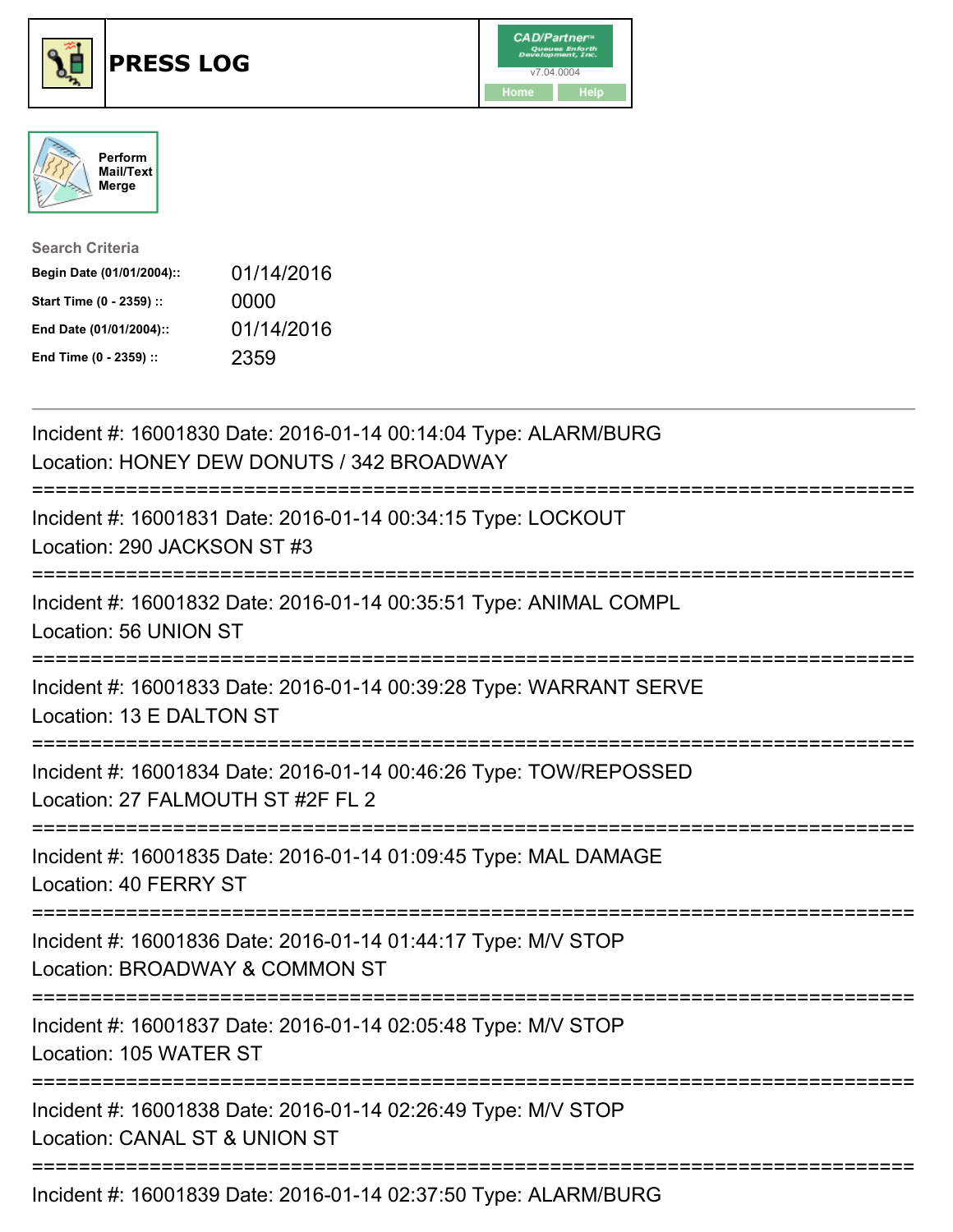





| <b>Search Criteria</b>    |            |
|---------------------------|------------|
| Begin Date (01/01/2004):: | 01/14/2016 |
| Start Time (0 - 2359) ::  | 0000       |
| End Date (01/01/2004)::   | 01/14/2016 |
| End Time (0 - 2359) ::    | 2359       |

| Incident #: 16001830 Date: 2016-01-14 00:14:04 Type: ALARM/BURG<br>Location: HONEY DEW DONUTS / 342 BROADWAY |
|--------------------------------------------------------------------------------------------------------------|
| Incident #: 16001831 Date: 2016-01-14 00:34:15 Type: LOCKOUT<br>Location: 290 JACKSON ST #3                  |
| Incident #: 16001832 Date: 2016-01-14 00:35:51 Type: ANIMAL COMPL<br>Location: 56 UNION ST                   |
| Incident #: 16001833 Date: 2016-01-14 00:39:28 Type: WARRANT SERVE<br>Location: 13 E DALTON ST               |
| Incident #: 16001834 Date: 2016-01-14 00:46:26 Type: TOW/REPOSSED<br>Location: 27 FALMOUTH ST #2F FL 2       |
| Incident #: 16001835 Date: 2016-01-14 01:09:45 Type: MAL DAMAGE<br>Location: 40 FERRY ST<br>=============    |
| Incident #: 16001836 Date: 2016-01-14 01:44:17 Type: M/V STOP<br>Location: BROADWAY & COMMON ST              |
| Incident #: 16001837 Date: 2016-01-14 02:05:48 Type: M/V STOP<br>Location: 105 WATER ST                      |
| Incident #: 16001838 Date: 2016-01-14 02:26:49 Type: M/V STOP<br>Location: CANAL ST & UNION ST               |
| Incident #: 16001839 Date: 2016-01-14 02:37:50 Type: ALARM/BURG                                              |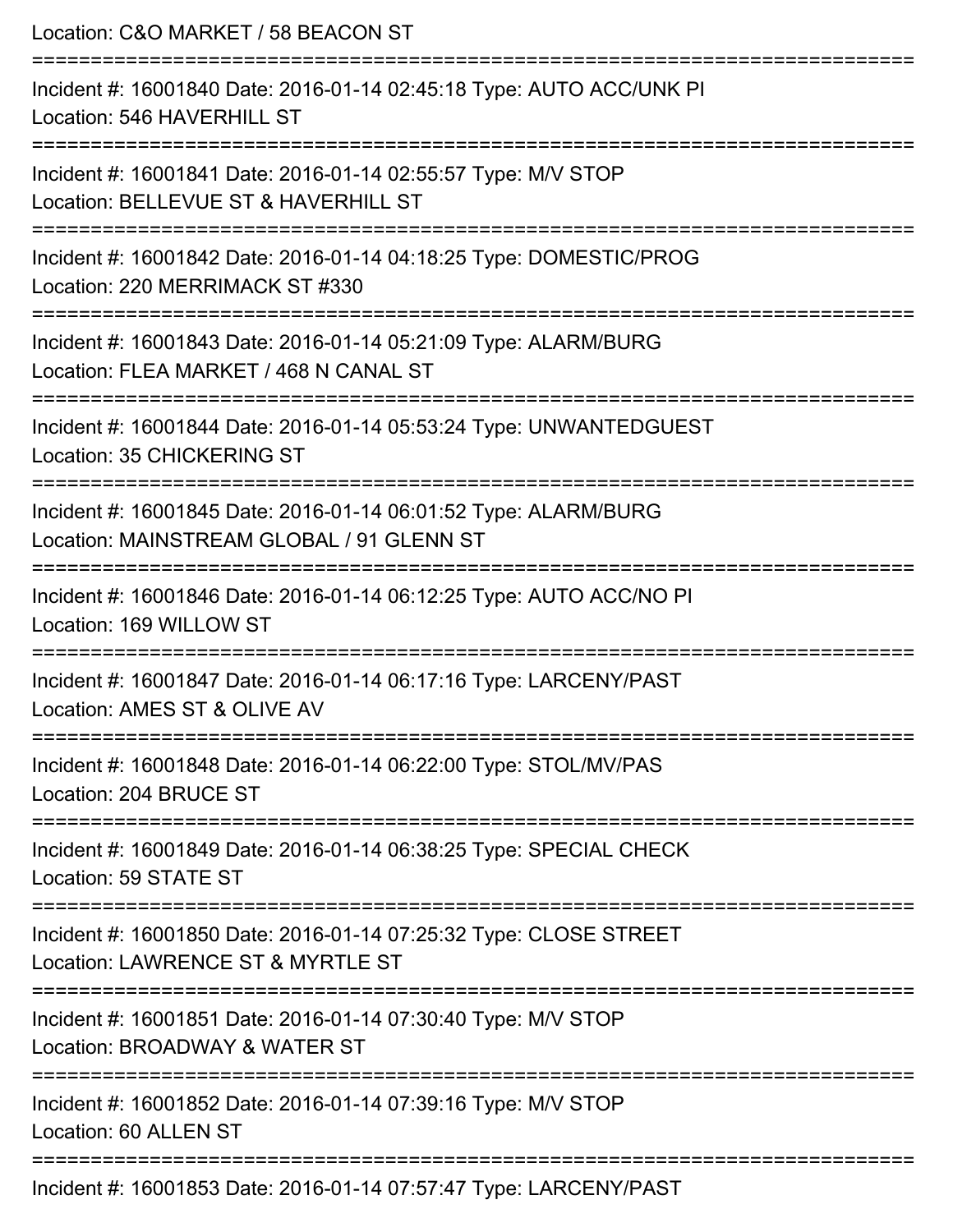| Location: C&O MARKET / 58 BEACON ST                                                                                                      |
|------------------------------------------------------------------------------------------------------------------------------------------|
| Incident #: 16001840 Date: 2016-01-14 02:45:18 Type: AUTO ACC/UNK PI<br>Location: 546 HAVERHILL ST                                       |
| Incident #: 16001841 Date: 2016-01-14 02:55:57 Type: M/V STOP<br>Location: BELLEVUE ST & HAVERHILL ST<br>=============================== |
| Incident #: 16001842 Date: 2016-01-14 04:18:25 Type: DOMESTIC/PROG<br>Location: 220 MERRIMACK ST #330                                    |
| Incident #: 16001843 Date: 2016-01-14 05:21:09 Type: ALARM/BURG<br>Location: FLEA MARKET / 468 N CANAL ST<br>-------------------         |
| Incident #: 16001844 Date: 2016-01-14 05:53:24 Type: UNWANTEDGUEST<br>Location: 35 CHICKERING ST                                         |
| Incident #: 16001845 Date: 2016-01-14 06:01:52 Type: ALARM/BURG<br>Location: MAINSTREAM GLOBAL / 91 GLENN ST                             |
| Incident #: 16001846 Date: 2016-01-14 06:12:25 Type: AUTO ACC/NO PI<br>Location: 169 WILLOW ST                                           |
| Incident #: 16001847 Date: 2016-01-14 06:17:16 Type: LARCENY/PAST<br>Location: AMES ST & OLIVE AV                                        |
| Incident #: 16001848 Date: 2016-01-14 06:22:00 Type: STOL/MV/PAS<br>Location: 204 BRUCE ST                                               |
| Incident #: 16001849 Date: 2016-01-14 06:38:25 Type: SPECIAL CHECK<br>Location: 59 STATE ST                                              |
| Incident #: 16001850 Date: 2016-01-14 07:25:32 Type: CLOSE STREET<br>Location: LAWRENCE ST & MYRTLE ST                                   |
| Incident #: 16001851 Date: 2016-01-14 07:30:40 Type: M/V STOP<br>Location: BROADWAY & WATER ST                                           |
| Incident #: 16001852 Date: 2016-01-14 07:39:16 Type: M/V STOP<br>Location: 60 ALLEN ST                                                   |
| Incident #: 16001853 Date: 2016-01-14 07:57:47 Type: LARCENY/PAST                                                                        |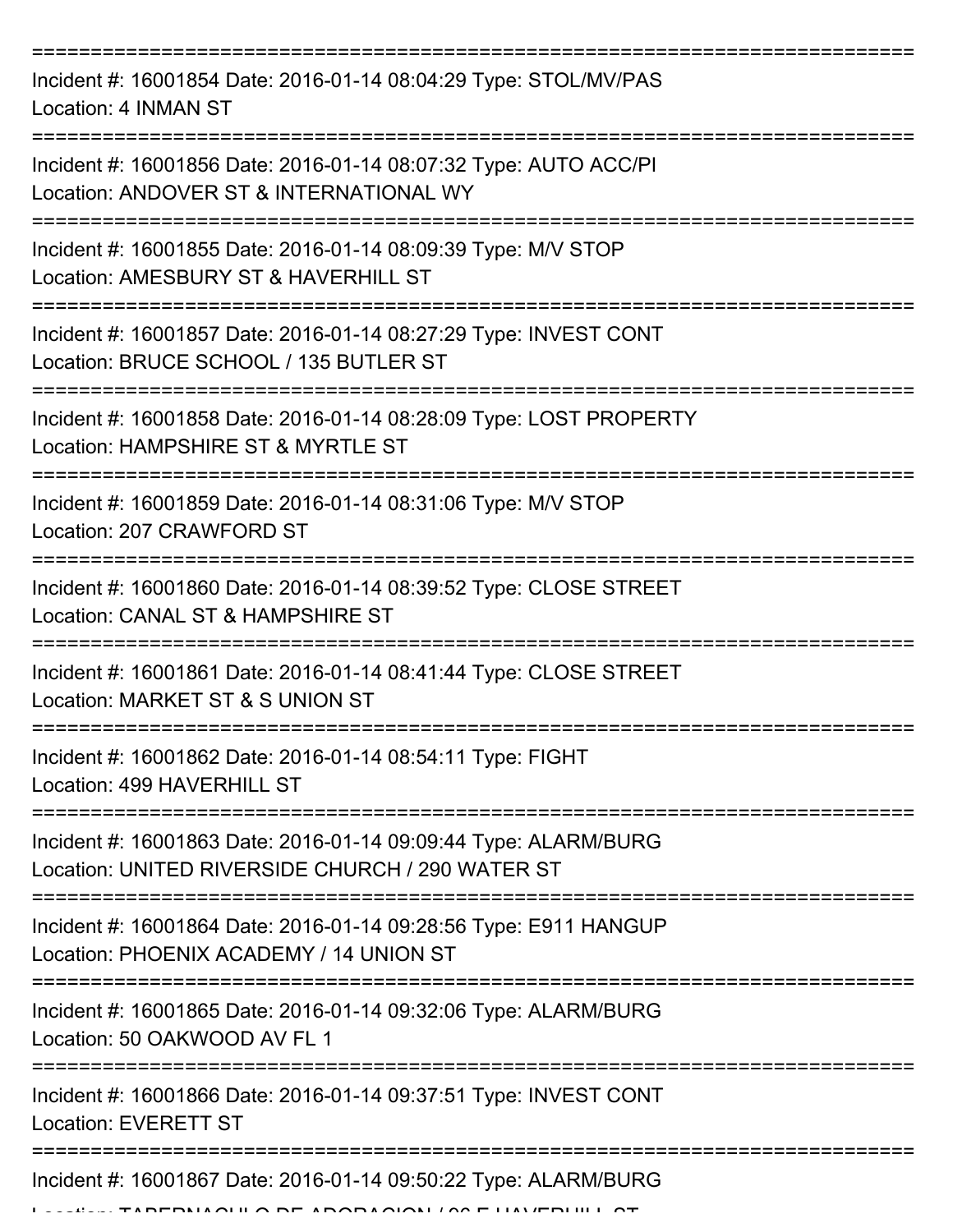=========================================================================== Incident #: 16001854 Date: 2016-01-14 08:04:29 Type: STOL/MV/PAS Location: 4 INMAN ST =========================================================================== Incident #: 16001856 Date: 2016-01-14 08:07:32 Type: AUTO ACC/PI Location: ANDOVER ST & INTERNATIONAL WY =========================================================================== Incident #: 16001855 Date: 2016-01-14 08:09:39 Type: M/V STOP Location: AMESBURY ST & HAVERHILL ST =========================================================================== Incident #: 16001857 Date: 2016-01-14 08:27:29 Type: INVEST CONT Location: BRUCE SCHOOL / 135 BUTLER ST =========================================================================== Incident #: 16001858 Date: 2016-01-14 08:28:09 Type: LOST PROPERTY Location: HAMPSHIRE ST & MYRTLE ST =========================================================================== Incident #: 16001859 Date: 2016-01-14 08:31:06 Type: M/V STOP Location: 207 CRAWFORD ST =========================================================================== Incident #: 16001860 Date: 2016-01-14 08:39:52 Type: CLOSE STREET Location: CANAL ST & HAMPSHIRE ST =========================================================================== Incident #: 16001861 Date: 2016-01-14 08:41:44 Type: CLOSE STREET Location: MARKET ST & S UNION ST =========================================================================== Incident #: 16001862 Date: 2016-01-14 08:54:11 Type: FIGHT Location: 499 HAVERHILL ST =========================================================================== Incident #: 16001863 Date: 2016-01-14 09:09:44 Type: ALARM/BURG Location: UNITED RIVERSIDE CHURCH / 290 WATER ST =========================================================================== Incident #: 16001864 Date: 2016-01-14 09:28:56 Type: E911 HANGUP Location: PHOENIX ACADEMY / 14 UNION ST =========================================================================== Incident #: 16001865 Date: 2016-01-14 09:32:06 Type: ALARM/BURG Location: 50 OAKWOOD AV FL 1 =========================================================================== Incident #: 16001866 Date: 2016-01-14 09:37:51 Type: INVEST CONT Location: EVERETT ST =========================================================================== Incident #: 16001867 Date: 2016-01-14 09:50:22 Type: ALARM/BURG

Location: TABERNACULO DE ADORACION / 96 E HAVERHILL ST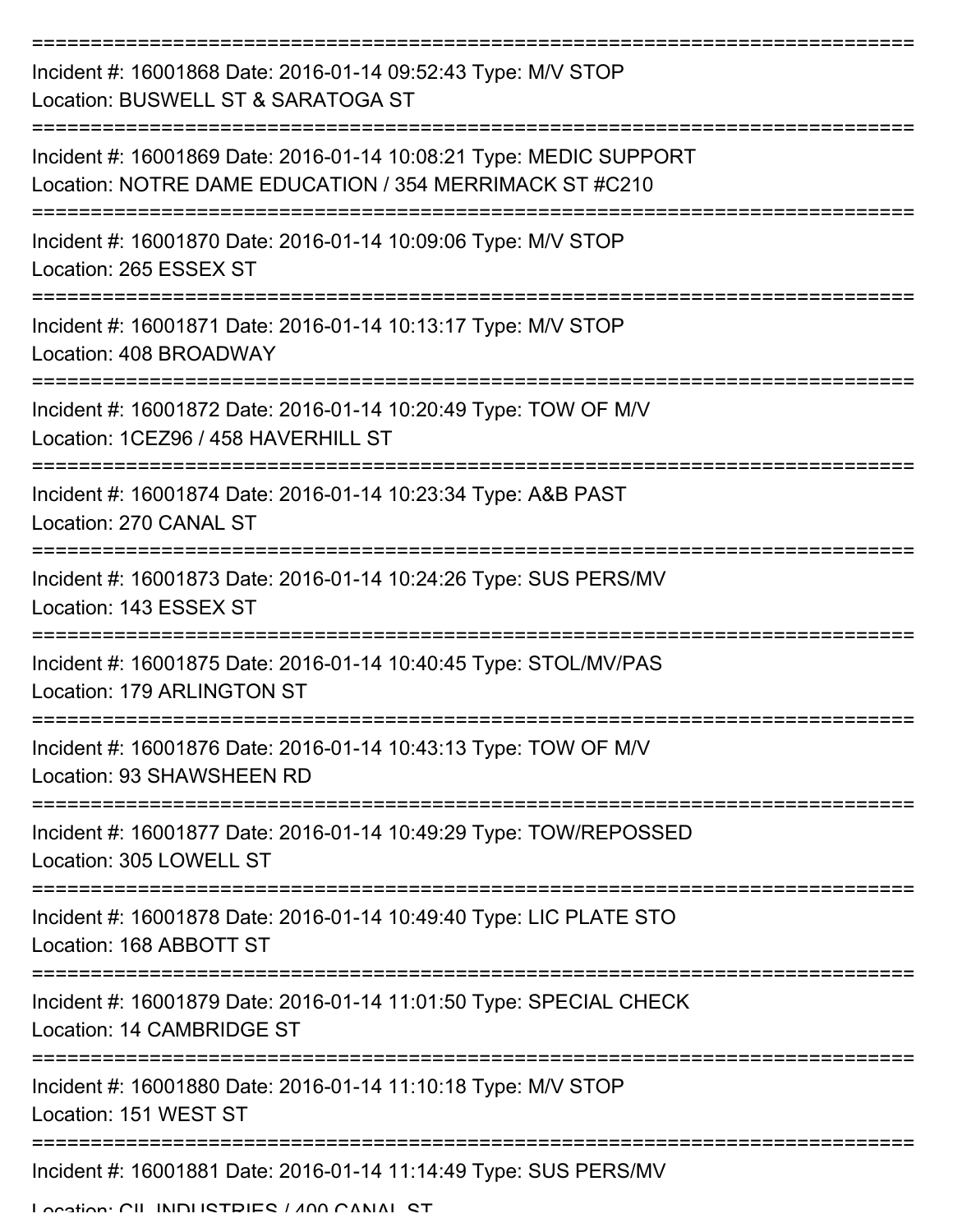| Incident #: 16001868 Date: 2016-01-14 09:52:43 Type: M/V STOP<br>Location: BUSWELL ST & SARATOGA ST                           |
|-------------------------------------------------------------------------------------------------------------------------------|
| Incident #: 16001869 Date: 2016-01-14 10:08:21 Type: MEDIC SUPPORT<br>Location: NOTRE DAME EDUCATION / 354 MERRIMACK ST #C210 |
| Incident #: 16001870 Date: 2016-01-14 10:09:06 Type: M/V STOP<br>Location: 265 ESSEX ST                                       |
| Incident #: 16001871 Date: 2016-01-14 10:13:17 Type: M/V STOP<br>Location: 408 BROADWAY                                       |
| Incident #: 16001872 Date: 2016-01-14 10:20:49 Type: TOW OF M/V<br>Location: 1CEZ96 / 458 HAVERHILL ST                        |
| Incident #: 16001874 Date: 2016-01-14 10:23:34 Type: A&B PAST<br>Location: 270 CANAL ST                                       |
| Incident #: 16001873 Date: 2016-01-14 10:24:26 Type: SUS PERS/MV<br>Location: 143 ESSEX ST                                    |
| Incident #: 16001875 Date: 2016-01-14 10:40:45 Type: STOL/MV/PAS<br>Location: 179 ARLINGTON ST                                |
| Incident #: 16001876 Date: 2016-01-14 10:43:13 Type: TOW OF M/V<br>Location: 93 SHAWSHEEN RD                                  |
| Incident #: 16001877 Date: 2016-01-14 10:49:29 Type: TOW/REPOSSED<br>Location: 305 LOWELL ST                                  |
| Incident #: 16001878 Date: 2016-01-14 10:49:40 Type: LIC PLATE STO<br>Location: 168 ABBOTT ST                                 |
| Incident #: 16001879 Date: 2016-01-14 11:01:50 Type: SPECIAL CHECK<br>Location: 14 CAMBRIDGE ST                               |
| Incident #: 16001880 Date: 2016-01-14 11:10:18 Type: M/V STOP<br>Location: 151 WEST ST                                        |
| Incident #: 16001881 Date: 2016-01-14 11:14:49 Type: SUS PERS/MV                                                              |
| Location: CIL ININHETDIES / AND CANIAL ST                                                                                     |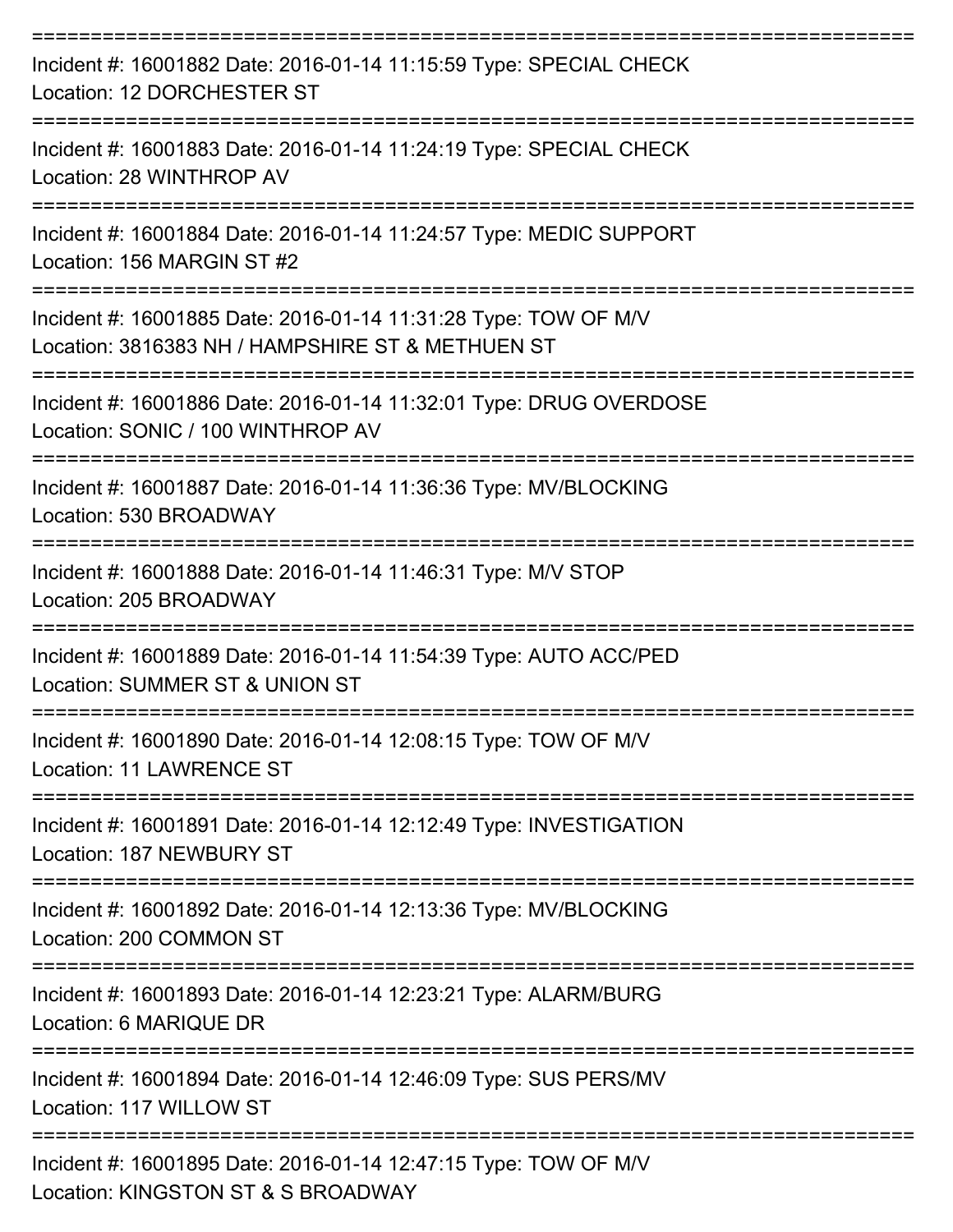| Incident #: 16001882 Date: 2016-01-14 11:15:59 Type: SPECIAL CHECK<br>Location: 12 DORCHESTER ST                                |
|---------------------------------------------------------------------------------------------------------------------------------|
| Incident #: 16001883 Date: 2016-01-14 11:24:19 Type: SPECIAL CHECK<br>Location: 28 WINTHROP AV                                  |
| Incident #: 16001884 Date: 2016-01-14 11:24:57 Type: MEDIC SUPPORT<br>Location: 156 MARGIN ST #2                                |
| Incident #: 16001885 Date: 2016-01-14 11:31:28 Type: TOW OF M/V<br>Location: 3816383 NH / HAMPSHIRE ST & METHUEN ST             |
| Incident #: 16001886 Date: 2016-01-14 11:32:01 Type: DRUG OVERDOSE<br>Location: SONIC / 100 WINTHROP AV<br>:=================== |
| Incident #: 16001887 Date: 2016-01-14 11:36:36 Type: MV/BLOCKING<br>Location: 530 BROADWAY                                      |
| Incident #: 16001888 Date: 2016-01-14 11:46:31 Type: M/V STOP<br>Location: 205 BROADWAY                                         |
| Incident #: 16001889 Date: 2016-01-14 11:54:39 Type: AUTO ACC/PED<br>Location: SUMMER ST & UNION ST                             |
| Incident #: 16001890 Date: 2016-01-14 12:08:15 Type: TOW OF M/V<br><b>Location: 11 LAWRENCE ST</b>                              |
| Incident #: 16001891 Date: 2016-01-14 12:12:49 Type: INVESTIGATION<br>Location: 187 NEWBURY ST                                  |
| Incident #: 16001892 Date: 2016-01-14 12:13:36 Type: MV/BLOCKING<br>Location: 200 COMMON ST                                     |
| Incident #: 16001893 Date: 2016-01-14 12:23:21 Type: ALARM/BURG<br>Location: 6 MARIQUE DR                                       |
| Incident #: 16001894 Date: 2016-01-14 12:46:09 Type: SUS PERS/MV<br>Location: 117 WILLOW ST                                     |
| Incident #: 16001895 Date: 2016-01-14 12:47:15 Type: TOW OF M/V<br>Location: KINGSTON ST & S BROADWAY                           |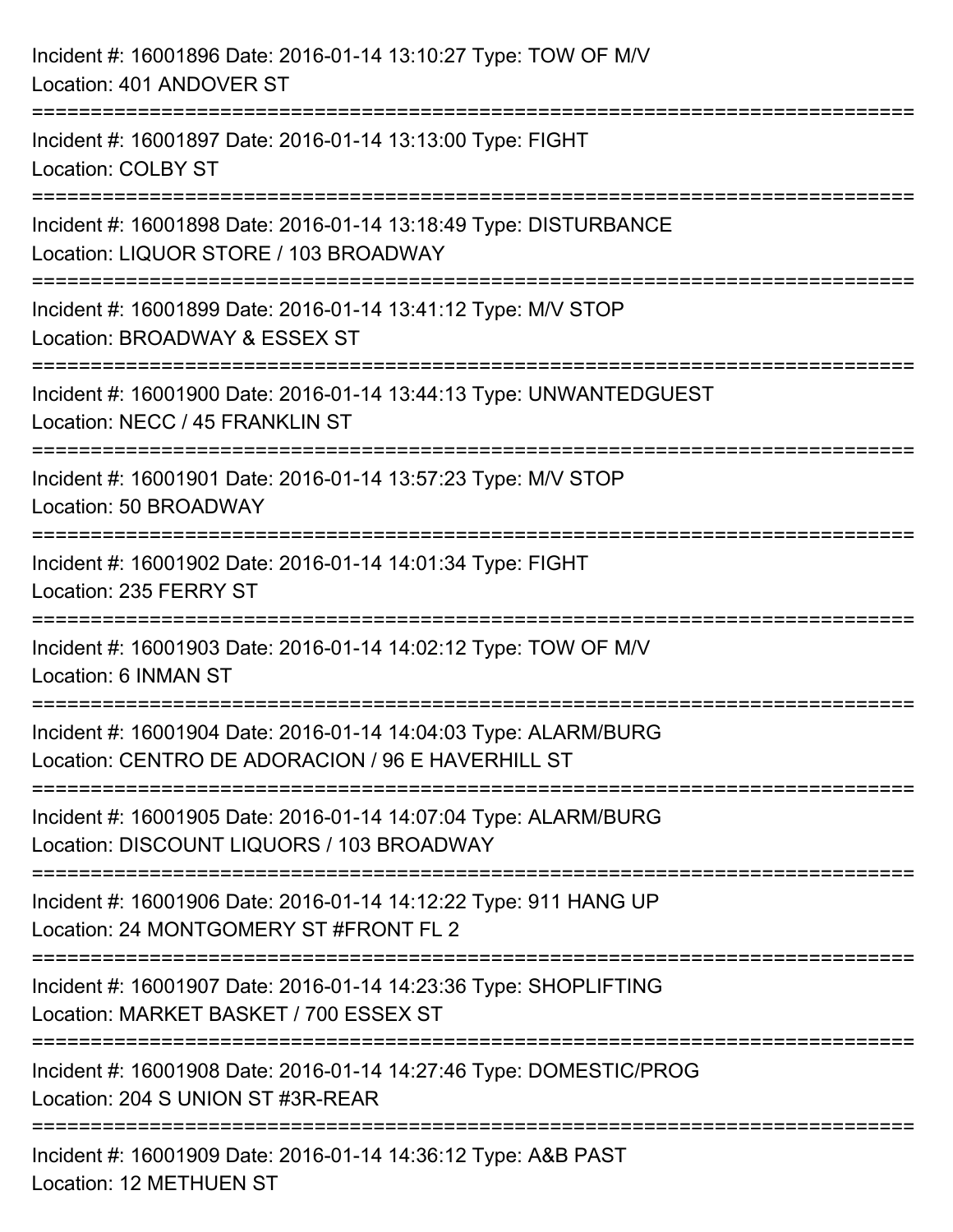| Incident #: 16001896 Date: 2016-01-14 13:10:27 Type: TOW OF M/V<br>Location: 401 ANDOVER ST                                                    |
|------------------------------------------------------------------------------------------------------------------------------------------------|
| =====================================<br>Incident #: 16001897 Date: 2016-01-14 13:13:00 Type: FIGHT<br><b>Location: COLBY ST</b>               |
| =================================<br>Incident #: 16001898 Date: 2016-01-14 13:18:49 Type: DISTURBANCE<br>Location: LIQUOR STORE / 103 BROADWAY |
| Incident #: 16001899 Date: 2016-01-14 13:41:12 Type: M/V STOP<br>Location: BROADWAY & ESSEX ST                                                 |
| Incident #: 16001900 Date: 2016-01-14 13:44:13 Type: UNWANTEDGUEST<br>Location: NECC / 45 FRANKLIN ST                                          |
| Incident #: 16001901 Date: 2016-01-14 13:57:23 Type: M/V STOP<br>Location: 50 BROADWAY                                                         |
| Incident #: 16001902 Date: 2016-01-14 14:01:34 Type: FIGHT<br>Location: 235 FERRY ST                                                           |
| Incident #: 16001903 Date: 2016-01-14 14:02:12 Type: TOW OF M/V<br>Location: 6 INMAN ST                                                        |
| Incident #: 16001904 Date: 2016-01-14 14:04:03 Type: ALARM/BURG<br>Location: CENTRO DE ADORACION / 96 E HAVERHILL ST                           |
| Incident #: 16001905 Date: 2016-01-14 14:07:04 Type: ALARM/BURG<br>Location: DISCOUNT LIQUORS / 103 BROADWAY                                   |
| Incident #: 16001906 Date: 2016-01-14 14:12:22 Type: 911 HANG UP<br>Location: 24 MONTGOMERY ST #FRONT FL 2                                     |
| Incident #: 16001907 Date: 2016-01-14 14:23:36 Type: SHOPLIFTING<br>Location: MARKET BASKET / 700 ESSEX ST                                     |
| Incident #: 16001908 Date: 2016-01-14 14:27:46 Type: DOMESTIC/PROG<br>Location: 204 S UNION ST #3R-REAR                                        |
| Incident #: 16001909 Date: 2016-01-14 14:36:12 Type: A&B PAST<br>Location: 12 METHUEN ST                                                       |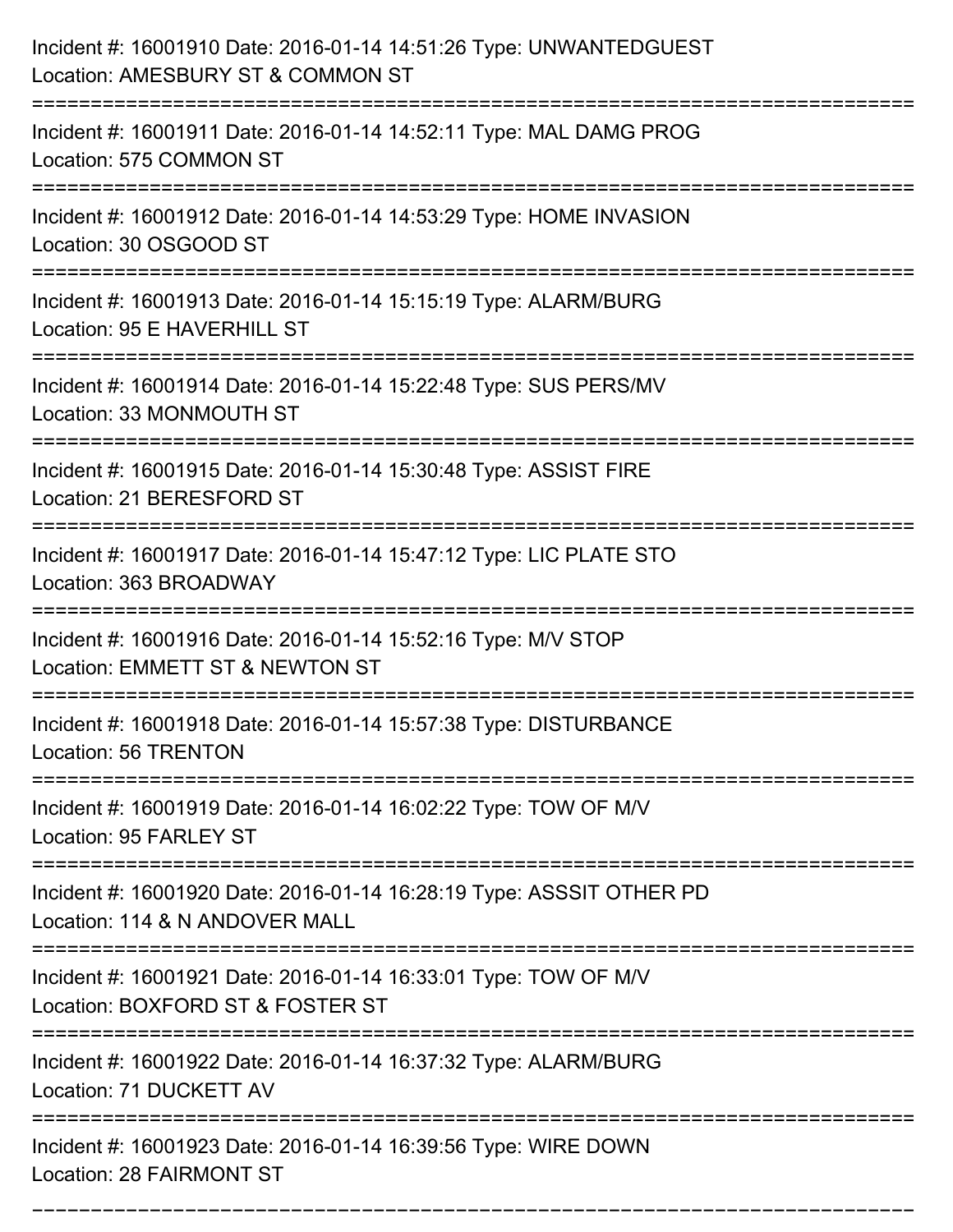| Incident #: 16001910 Date: 2016-01-14 14:51:26 Type: UNWANTEDGUEST<br>Location: AMESBURY ST & COMMON ST |
|---------------------------------------------------------------------------------------------------------|
| Incident #: 16001911 Date: 2016-01-14 14:52:11 Type: MAL DAMG PROG<br>Location: 575 COMMON ST           |
| Incident #: 16001912 Date: 2016-01-14 14:53:29 Type: HOME INVASION<br>Location: 30 OSGOOD ST            |
| Incident #: 16001913 Date: 2016-01-14 15:15:19 Type: ALARM/BURG<br>Location: 95 E HAVERHILL ST          |
| Incident #: 16001914 Date: 2016-01-14 15:22:48 Type: SUS PERS/MV<br>Location: 33 MONMOUTH ST            |
| Incident #: 16001915 Date: 2016-01-14 15:30:48 Type: ASSIST FIRE<br>Location: 21 BERESFORD ST           |
| Incident #: 16001917 Date: 2016-01-14 15:47:12 Type: LIC PLATE STO<br>Location: 363 BROADWAY            |
| Incident #: 16001916 Date: 2016-01-14 15:52:16 Type: M/V STOP<br>Location: EMMETT ST & NEWTON ST        |
| Incident #: 16001918 Date: 2016-01-14 15:57:38 Type: DISTURBANCE<br>Location: 56 TRENTON                |
| Incident #: 16001919 Date: 2016-01-14 16:02:22 Type: TOW OF M/V<br>Location: 95 FARLEY ST               |
| Incident #: 16001920 Date: 2016-01-14 16:28:19 Type: ASSSIT OTHER PD<br>Location: 114 & N ANDOVER MALL  |
| Incident #: 16001921 Date: 2016-01-14 16:33:01 Type: TOW OF M/V<br>Location: BOXFORD ST & FOSTER ST     |
| Incident #: 16001922 Date: 2016-01-14 16:37:32 Type: ALARM/BURG<br>Location: 71 DUCKETT AV              |
| Incident #: 16001923 Date: 2016-01-14 16:39:56 Type: WIRE DOWN<br>Location: 28 FAIRMONT ST              |

===========================================================================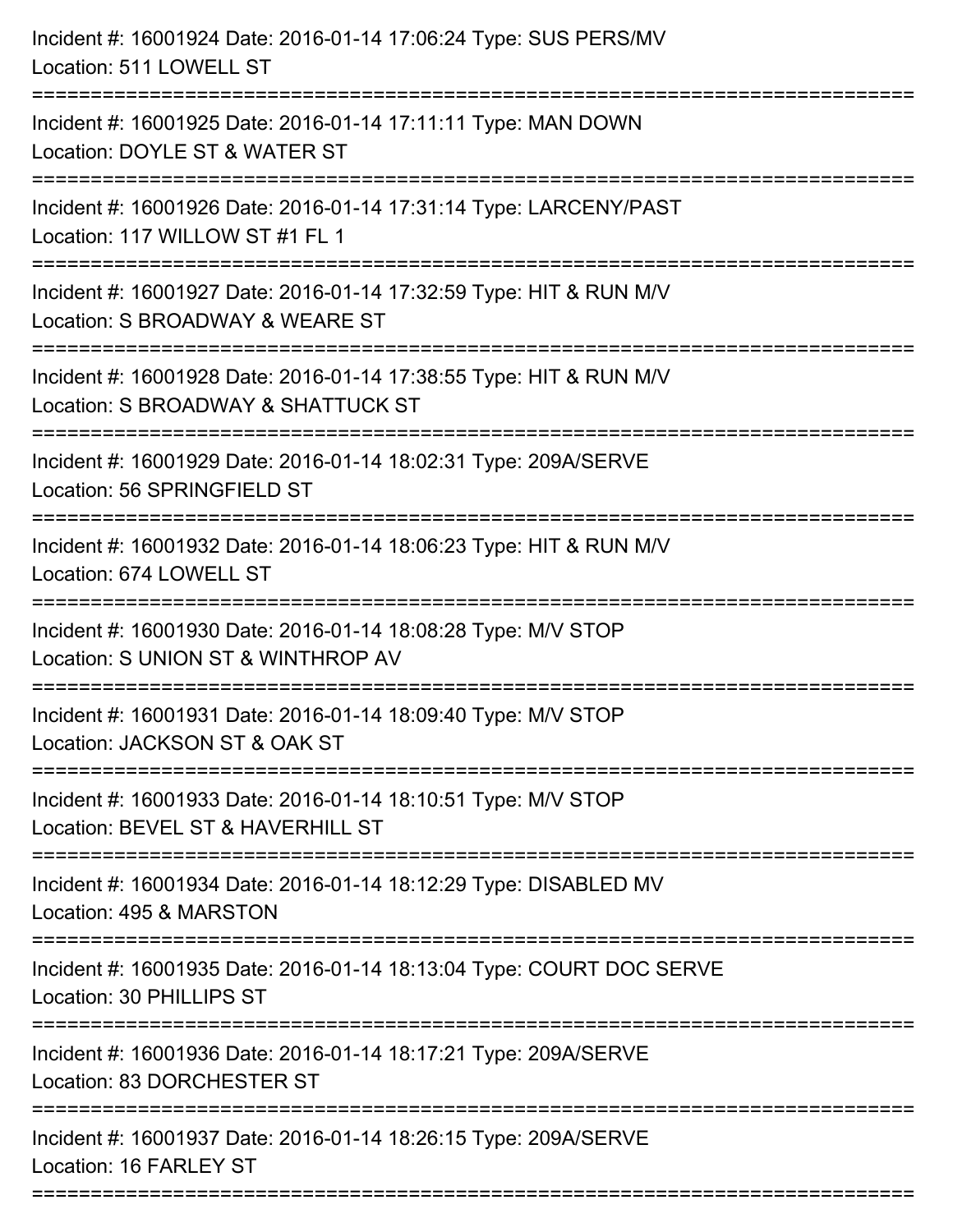| Incident #: 16001924 Date: 2016-01-14 17:06:24 Type: SUS PERS/MV<br>Location: 511 LOWELL ST                                         |
|-------------------------------------------------------------------------------------------------------------------------------------|
| Incident #: 16001925 Date: 2016-01-14 17:11:11 Type: MAN DOWN<br>Location: DOYLE ST & WATER ST                                      |
| Incident #: 16001926 Date: 2016-01-14 17:31:14 Type: LARCENY/PAST<br>Location: 117 WILLOW ST #1 FL 1<br>==========================  |
| Incident #: 16001927 Date: 2016-01-14 17:32:59 Type: HIT & RUN M/V<br>Location: S BROADWAY & WEARE ST<br>========================== |
| Incident #: 16001928 Date: 2016-01-14 17:38:55 Type: HIT & RUN M/V<br>Location: S BROADWAY & SHATTUCK ST                            |
| Incident #: 16001929 Date: 2016-01-14 18:02:31 Type: 209A/SERVE<br>Location: 56 SPRINGFIELD ST                                      |
| Incident #: 16001932 Date: 2016-01-14 18:06:23 Type: HIT & RUN M/V<br>Location: 674 LOWELL ST                                       |
| Incident #: 16001930 Date: 2016-01-14 18:08:28 Type: M/V STOP<br>Location: S UNION ST & WINTHROP AV                                 |
| Incident #: 16001931 Date: 2016-01-14 18:09:40 Type: M/V STOP<br>Location: JACKSON ST & OAK ST                                      |
| Incident #: 16001933 Date: 2016-01-14 18:10:51 Type: M/V STOP<br>Location: BEVEL ST & HAVERHILL ST                                  |
| Incident #: 16001934 Date: 2016-01-14 18:12:29 Type: DISABLED MV<br>Location: 495 & MARSTON                                         |
| Incident #: 16001935 Date: 2016-01-14 18:13:04 Type: COURT DOC SERVE<br>Location: 30 PHILLIPS ST                                    |
| Incident #: 16001936 Date: 2016-01-14 18:17:21 Type: 209A/SERVE<br>Location: 83 DORCHESTER ST                                       |
| Incident #: 16001937 Date: 2016-01-14 18:26:15 Type: 209A/SERVE<br>Location: 16 FARLEY ST                                           |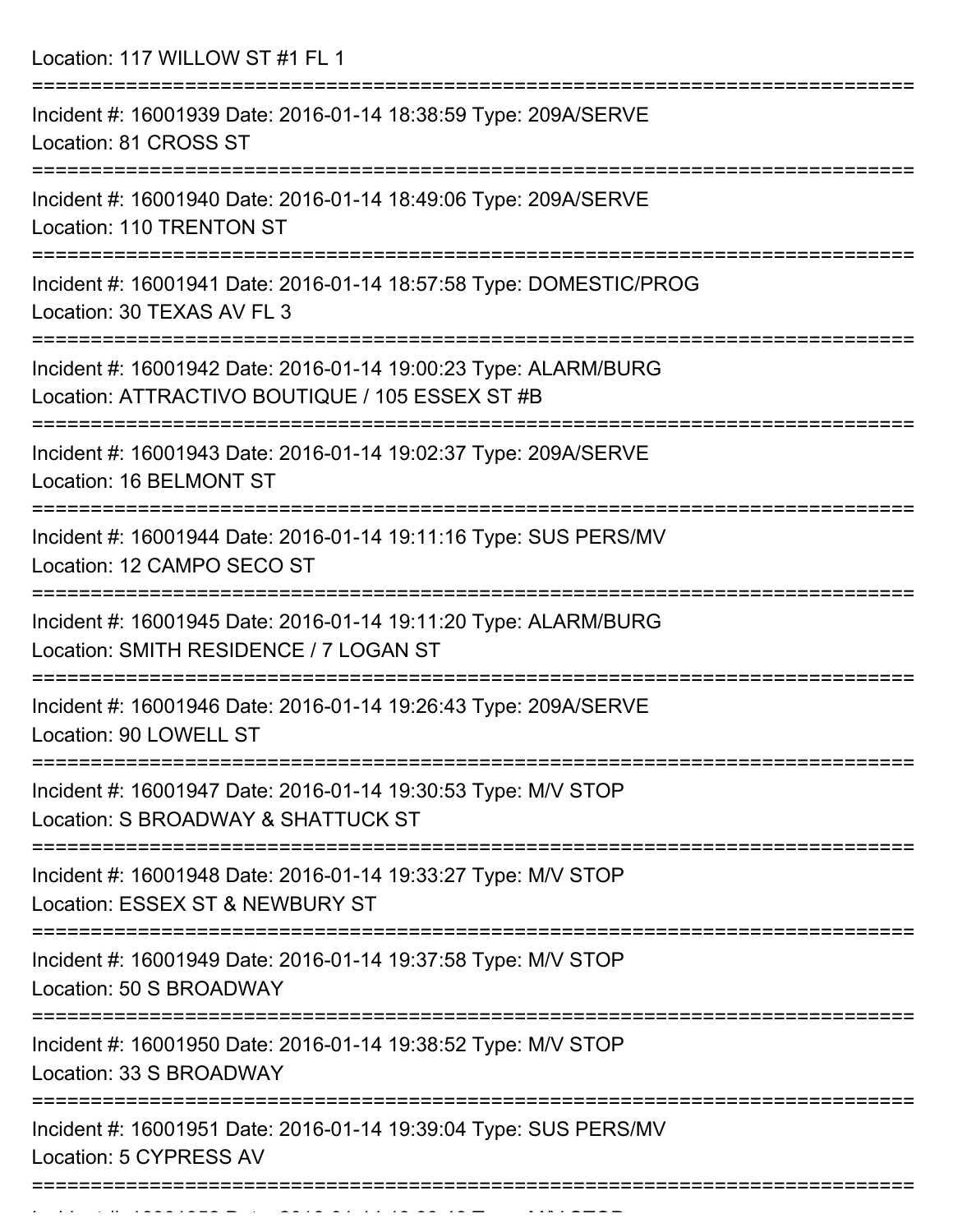Location: 117 WILLOW ST #1 FL 1

| Incident #: 16001939 Date: 2016-01-14 18:38:59 Type: 209A/SERVE<br>Location: 81 CROSS ST                           |
|--------------------------------------------------------------------------------------------------------------------|
| Incident #: 16001940 Date: 2016-01-14 18:49:06 Type: 209A/SERVE<br><b>Location: 110 TRENTON ST</b>                 |
| Incident #: 16001941 Date: 2016-01-14 18:57:58 Type: DOMESTIC/PROG<br>Location: 30 TEXAS AV FL 3                   |
| Incident #: 16001942 Date: 2016-01-14 19:00:23 Type: ALARM/BURG<br>Location: ATTRACTIVO BOUTIQUE / 105 ESSEX ST #B |
| Incident #: 16001943 Date: 2016-01-14 19:02:37 Type: 209A/SERVE<br>Location: 16 BELMONT ST                         |
| Incident #: 16001944 Date: 2016-01-14 19:11:16 Type: SUS PERS/MV<br>Location: 12 CAMPO SECO ST                     |
| Incident #: 16001945 Date: 2016-01-14 19:11:20 Type: ALARM/BURG<br>Location: SMITH RESIDENCE / 7 LOGAN ST          |
| Incident #: 16001946 Date: 2016-01-14 19:26:43 Type: 209A/SERVE<br>Location: 90 LOWELL ST                          |
| Incident #: 16001947 Date: 2016-01-14 19:30:53 Type: M/V STOP<br>Location: S BROADWAY & SHATTUCK ST                |
| Incident #: 16001948 Date: 2016-01-14 19:33:27 Type: M/V STOP<br>Location: ESSEX ST & NEWBURY ST                   |
| Incident #: 16001949 Date: 2016-01-14 19:37:58 Type: M/V STOP<br>Location: 50 S BROADWAY                           |
| Incident #: 16001950 Date: 2016-01-14 19:38:52 Type: M/V STOP<br>Location: 33 S BROADWAY                           |
| Incident #: 16001951 Date: 2016-01-14 19:39:04 Type: SUS PERS/MV<br>Location: 5 CYPRESS AV                         |
|                                                                                                                    |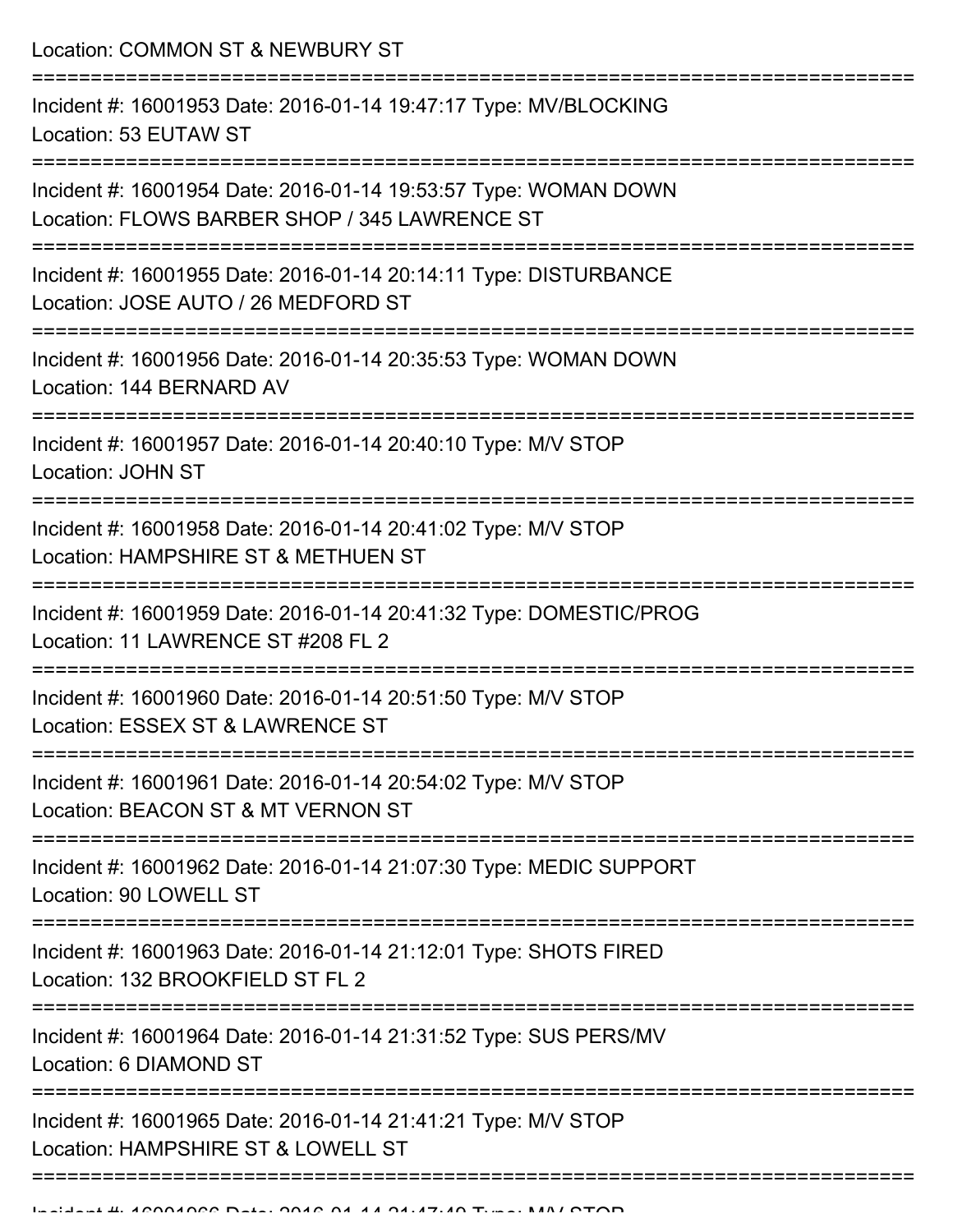Location: COMMON ST & NEWBURY ST

| Incident #: 16001953 Date: 2016-01-14 19:47:17 Type: MV/BLOCKING<br>Location: 53 EUTAW ST                        |
|------------------------------------------------------------------------------------------------------------------|
| Incident #: 16001954 Date: 2016-01-14 19:53:57 Type: WOMAN DOWN<br>Location: FLOWS BARBER SHOP / 345 LAWRENCE ST |
| Incident #: 16001955 Date: 2016-01-14 20:14:11 Type: DISTURBANCE<br>Location: JOSE AUTO / 26 MEDFORD ST          |
| Incident #: 16001956 Date: 2016-01-14 20:35:53 Type: WOMAN DOWN<br>Location: 144 BERNARD AV                      |
| Incident #: 16001957 Date: 2016-01-14 20:40:10 Type: M/V STOP<br>Location: JOHN ST                               |
| Incident #: 16001958 Date: 2016-01-14 20:41:02 Type: M/V STOP<br>Location: HAMPSHIRE ST & METHUEN ST             |
| Incident #: 16001959 Date: 2016-01-14 20:41:32 Type: DOMESTIC/PROG<br>Location: 11 LAWRENCE ST #208 FL 2         |
| Incident #: 16001960 Date: 2016-01-14 20:51:50 Type: M/V STOP<br>Location: ESSEX ST & LAWRENCE ST                |
| Incident #: 16001961 Date: 2016-01-14 20:54:02 Type: M/V STOP<br>Location: BEACON ST & MT VERNON ST              |
| Incident #: 16001962 Date: 2016-01-14 21:07:30 Type: MEDIC SUPPORT<br>Location: 90 LOWELL ST                     |
| Incident #: 16001963 Date: 2016-01-14 21:12:01 Type: SHOTS FIRED<br>Location: 132 BROOKFIELD ST FL 2             |
| Incident #: 16001964 Date: 2016-01-14 21:31:52 Type: SUS PERS/MV<br>Location: 6 DIAMOND ST                       |
| Incident #: 16001965 Date: 2016-01-14 21:41:21 Type: M/V STOP<br>Location: HAMPSHIRE ST & LOWELL ST              |
|                                                                                                                  |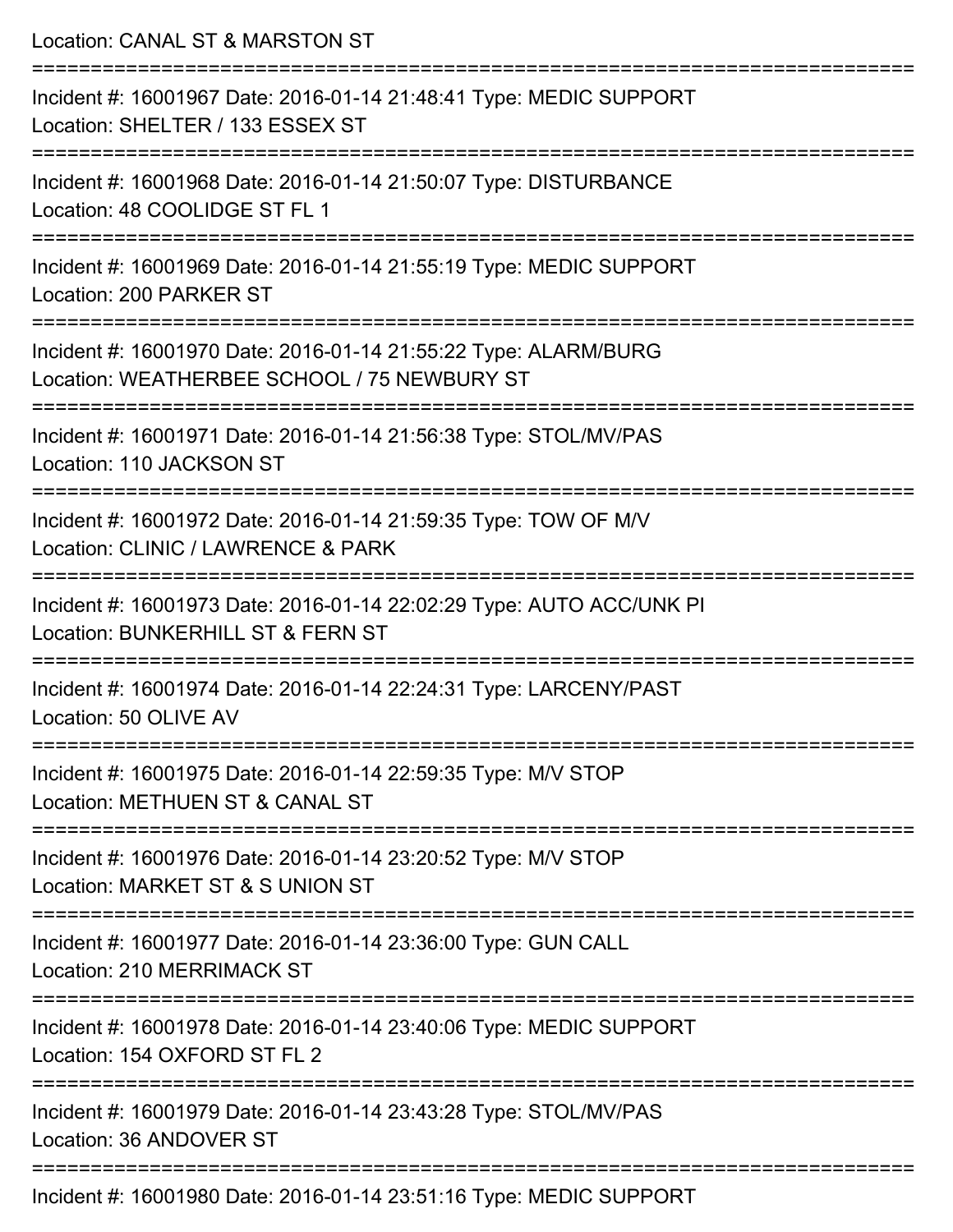| Location: CANAL ST & MARSTON ST                                                                                |
|----------------------------------------------------------------------------------------------------------------|
| Incident #: 16001967 Date: 2016-01-14 21:48:41 Type: MEDIC SUPPORT<br>Location: SHELTER / 133 ESSEX ST         |
| Incident #: 16001968 Date: 2016-01-14 21:50:07 Type: DISTURBANCE<br>Location: 48 COOLIDGE ST FL 1              |
| Incident #: 16001969 Date: 2016-01-14 21:55:19 Type: MEDIC SUPPORT<br>Location: 200 PARKER ST                  |
| Incident #: 16001970 Date: 2016-01-14 21:55:22 Type: ALARM/BURG<br>Location: WEATHERBEE SCHOOL / 75 NEWBURY ST |
| Incident #: 16001971 Date: 2016-01-14 21:56:38 Type: STOL/MV/PAS<br>Location: 110 JACKSON ST                   |
| Incident #: 16001972 Date: 2016-01-14 21:59:35 Type: TOW OF M/V<br>Location: CLINIC / LAWRENCE & PARK          |
| Incident #: 16001973 Date: 2016-01-14 22:02:29 Type: AUTO ACC/UNK PI<br>Location: BUNKERHILL ST & FERN ST      |
| Incident #: 16001974 Date: 2016-01-14 22:24:31 Type: LARCENY/PAST<br>Location: 50 OLIVE AV                     |
| Incident #: 16001975 Date: 2016-01-14 22:59:35 Type: M/V STOP<br>Location: METHUEN ST & CANAL ST               |
| Incident #: 16001976 Date: 2016-01-14 23:20:52 Type: M/V STOP<br>Location: MARKET ST & S UNION ST              |
| Incident #: 16001977 Date: 2016-01-14 23:36:00 Type: GUN CALL<br>Location: 210 MERRIMACK ST                    |
| Incident #: 16001978 Date: 2016-01-14 23:40:06 Type: MEDIC SUPPORT<br>Location: 154 OXFORD ST FL 2             |
| Incident #: 16001979 Date: 2016-01-14 23:43:28 Type: STOL/MV/PAS<br>Location: 36 ANDOVER ST                    |
| Incident #: 16001980 Date: 2016-01-14 23:51:16 Type: MEDIC SUPPORT                                             |